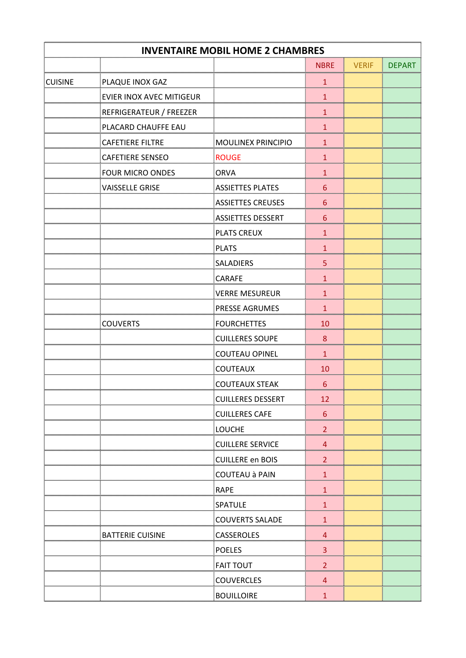| <b>INVENTAIRE MOBIL HOME 2 CHAMBRES</b> |                          |                           |                 |              |      |  |
|-----------------------------------------|--------------------------|---------------------------|-----------------|--------------|------|--|
|                                         |                          |                           | <b>NBRE</b>     | <b>VERIF</b> | DEPA |  |
| <b>CUISINE</b>                          | PLAQUE INOX GAZ          |                           | 1               |              |      |  |
|                                         | EVIER INOX AVEC MITIGEUR |                           | $\frac{1}{2}$   |              |      |  |
|                                         | REFRIGERATEUR / FREEZER  |                           | 1               |              |      |  |
|                                         | PLACARD CHAUFFE EAU      |                           | 1               |              |      |  |
|                                         | <b>CAFETIERE FILTRE</b>  | <b>MOULINEX PRINCIPIO</b> | 1               |              |      |  |
|                                         | <b>CAFETIERE SENSEO</b>  | <b>ROUGE</b>              | 1               |              |      |  |
|                                         | FOUR MICRO ONDES         | <b>ORVA</b>               | $\mathbf{1}$    |              |      |  |
|                                         | <b>VAISSELLE GRISE</b>   | <b>ASSIETTES PLATES</b>   | 6               |              |      |  |
|                                         |                          | <b>ASSIETTES CREUSES</b>  | 6               |              |      |  |
|                                         |                          | <b>ASSIETTES DESSERT</b>  | $6\phantom{1}6$ |              |      |  |
|                                         |                          | <b>PLATS CREUX</b>        | 1               |              |      |  |
|                                         |                          | <b>PLATS</b>              | 1               |              |      |  |
|                                         |                          | <b>SALADIERS</b>          | 5               |              |      |  |
|                                         |                          | <b>CARAFE</b>             | 1               |              |      |  |
|                                         |                          | <b>VERRE MESUREUR</b>     | 1<br>           |              |      |  |
|                                         |                          | PRESSE AGRUMES            | 1               |              |      |  |
|                                         | <b>COUVERTS</b>          | <b>FOURCHETTES</b>        | 10              |              |      |  |
|                                         |                          | <b>CUILLERES SOUPE</b>    | $\bf 8$         |              |      |  |
|                                         |                          | <b>COUTEAU OPINEL</b>     | 1               |              |      |  |
|                                         |                          | <b>COUTEAUX</b>           | 10              |              |      |  |
|                                         |                          | <b>COUTEAUX STEAK</b>     | 6               |              |      |  |
|                                         |                          | <b>CUILLERES DESSERT</b>  | 12              |              |      |  |
|                                         |                          | <b>CUILLERES CAFE</b>     | 6               |              |      |  |
|                                         |                          | <b>LOUCHE</b>             |                 |              |      |  |
|                                         |                          | <b>CUILLERE SERVICE</b>   | 4               |              |      |  |
|                                         |                          | <b>CUILLERE en BOIS</b>   | 2               |              |      |  |
|                                         |                          | <b>COUTEAU à PAIN</b>     |                 |              |      |  |
|                                         |                          | <b>RAPE</b>               |                 |              |      |  |
|                                         |                          | <b>SPATULE</b>            |                 |              |      |  |
|                                         |                          | <b>COUVERTS SALADE</b>    |                 |              |      |  |
|                                         | <b>BATTERIE CUISINE</b>  | <b>CASSEROLES</b>         | 4               |              |      |  |
|                                         |                          | <b>POELES</b>             | 3               |              |      |  |
|                                         |                          | <b>FAIT TOUT</b>          | 2               |              |      |  |
|                                         |                          | <b>COUVERCLES</b>         | 4               |              |      |  |
|                                         |                          | <b>BOUILLOIRE</b>         | 1               |              |      |  |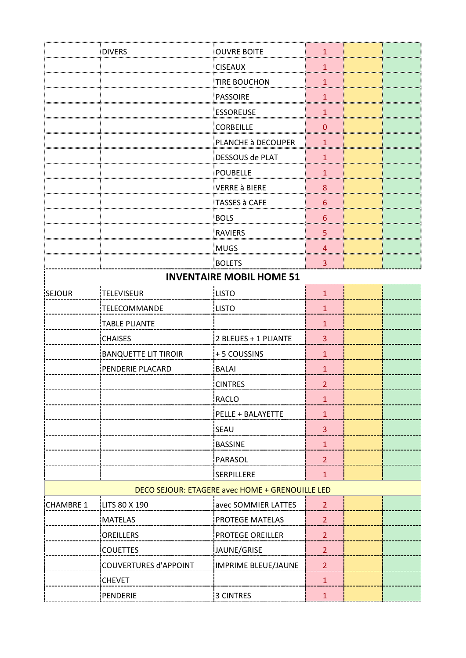|                  | <b>DIVERS</b>                | <b>OUVRE BOITE</b>                              | 1              |  |
|------------------|------------------------------|-------------------------------------------------|----------------|--|
|                  |                              | <b>CISEAUX</b>                                  |                |  |
|                  |                              | <b>TIRE BOUCHON</b>                             | $\mathbf 1$    |  |
|                  |                              | <b>PASSOIRE</b>                                 |                |  |
|                  |                              | <b>ESSOREUSE</b>                                |                |  |
|                  |                              | <b>CORBEILLE</b>                                | 0              |  |
|                  |                              | PLANCHE à DECOUPER                              |                |  |
|                  |                              | DESSOUS de PLAT                                 | 1              |  |
|                  |                              | <b>POUBELLE</b>                                 |                |  |
|                  |                              | <b>VERRE à BIERE</b>                            | 8              |  |
|                  |                              | TASSES à CAFE                                   | 6              |  |
|                  |                              | <b>BOLS</b>                                     | 6              |  |
|                  |                              | <b>RAVIERS</b>                                  | 5              |  |
|                  |                              | <b>MUGS</b>                                     | 4              |  |
|                  |                              | <b>BOLETS</b>                                   | 3              |  |
|                  |                              | <b>INVENTAIRE MOBIL HOME 51</b>                 |                |  |
| SEJOUR           | TELEVISEUR                   | LISTO                                           | $\mathbf{1}$   |  |
|                  | TELECOMMANDE                 | <b>LISTO</b>                                    | $\mathbf{1}$   |  |
|                  | <b>TABLE PLIANTE</b>         |                                                 | $\mathbf{1}$   |  |
|                  | <b>CHAISES</b>               | 2 BLEUES + 1 PLIANTE                            | 3              |  |
|                  | <b>BANQUETTE LIT TIROIR</b>  | +5 COUSSINS                                     | $\mathbf{1}$   |  |
|                  | PENDERIE PLACARD             | BALAI                                           | $\mathbf{1}$   |  |
|                  |                              | <b>CINTRES</b>                                  | $\overline{2}$ |  |
|                  |                              | RACLO                                           | $\mathbf 1$    |  |
|                  |                              | PELLE + BALAYETTE                               | $\mathbf{1}$   |  |
|                  |                              | iSEAU                                           | 3              |  |
|                  |                              | <b>BASSINE</b>                                  | $\mathbf{1}$   |  |
|                  |                              | PARASOL                                         | $\overline{2}$ |  |
|                  |                              | <b>SERPILLERE</b>                               | $\mathbf{1}$   |  |
|                  |                              | DECO SEJOUR: ETAGERE avec HOME + GRENOUILLE LED |                |  |
| <b>CHAMBRE 1</b> | LITS 80 X 190                | avec SOMMIER LATTES                             | $\overline{2}$ |  |
|                  | <b>MATELAS</b>               | PROTEGE MATELAS                                 | $\overline{2}$ |  |
|                  | <b>OREILLERS</b>             | PROTEGE OREILLER                                | $\overline{2}$ |  |
|                  | <b>COUETTES</b>              | JAUNE/GRISE                                     | $\overline{2}$ |  |
|                  | <b>COUVERTURES d'APPOINT</b> | <b>IMPRIME BLEUE/JAUNE</b>                      | $\overline{2}$ |  |
|                  | <b>CHEVET</b>                |                                                 | $\mathbf{1}$   |  |
|                  | PENDERIE                     | <b>3 CINTRES</b>                                | $\mathbf{1}$   |  |